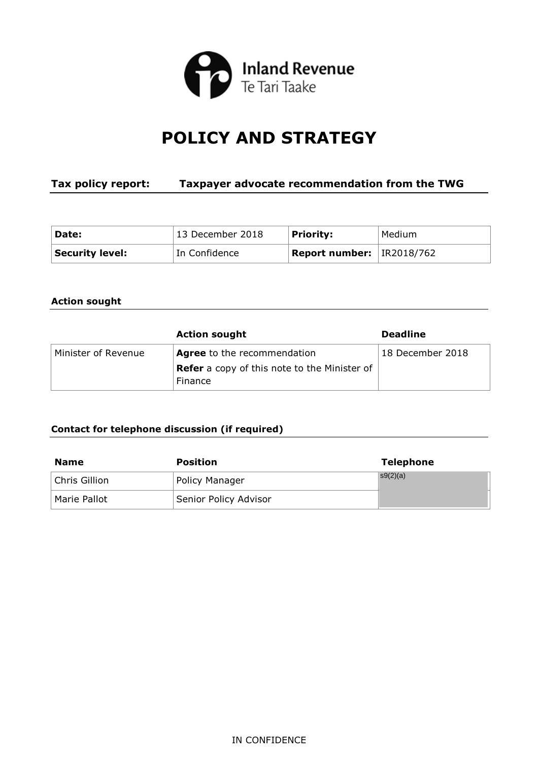

# **POLICY AND STRATEGY**

# **Tax policy report: Taxpayer advocate recommendation from the TWG**

| Date:                  | 13 December 2018 | <b>Priority:</b>                     | Medium |
|------------------------|------------------|--------------------------------------|--------|
| <b>Security level:</b> | In Confidence    | <b>Report number:</b> $ $ IR2018/762 |        |

# **Action sought**

|                     | <b>Action sought</b>                                           | <b>Deadline</b>  |
|---------------------|----------------------------------------------------------------|------------------|
| Minister of Revenue | <b>Agree</b> to the recommendation                             | 18 December 2018 |
|                     | <b>Refer</b> a copy of this note to the Minister of<br>Finance |                  |

# **Contact for telephone discussion (if required)**

| <b>Name</b>   | <b>Position</b>       | <b>Telephone</b> |
|---------------|-----------------------|------------------|
| Chris Gillion | Policy Manager        | s9(2)(a)         |
| Marie Pallot  | Senior Policy Advisor |                  |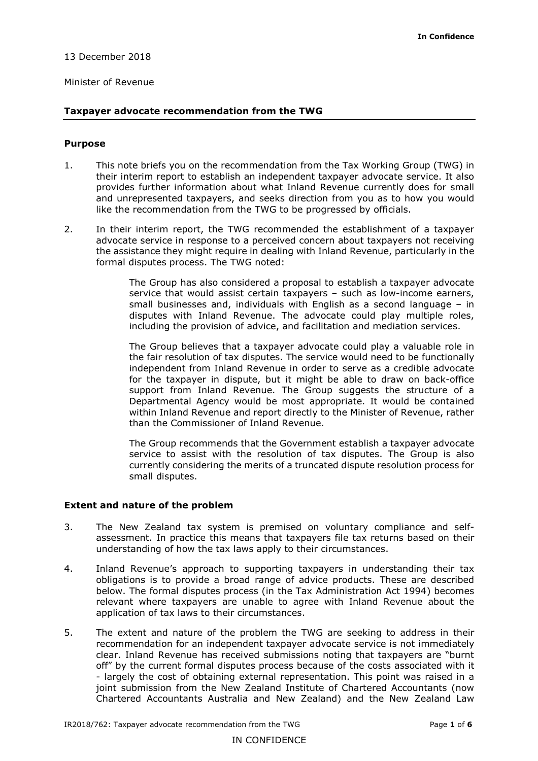#### 13 December 2018

#### Minister of Revenue

#### **Taxpayer advocate recommendation from the TWG**

#### **Purpose**

- 1. This note briefs you on the recommendation from the Tax Working Group (TWG) in their interim report to establish an independent taxpayer advocate service. It also provides further information about what Inland Revenue currently does for small and unrepresented taxpayers, and seeks direction from you as to how you would like the recommendation from the TWG to be progressed by officials.
- the assistance they might require in dealing with Inland Revenue, particularly in the 2. In their interim report, the TWG recommended the establishment of a taxpayer advocate service in response to a perceived concern about taxpayers not receiving formal disputes process. The TWG noted:

 service that would assist certain taxpayers – such as low-income earners, The Group has also considered a proposal to establish a taxpayer advocate small businesses and, individuals with English as a second language – in disputes with Inland Revenue. The advocate could play multiple roles, including the provision of advice, and facilitation and mediation services.

 support from Inland Revenue. The Group suggests the structure of a within Inland Revenue and report directly to the Minister of Revenue, rather than the Commissioner of Inland Revenue. The Group believes that a taxpayer advocate could play a valuable role in the fair resolution of tax disputes. The service would need to be functionally independent from Inland Revenue in order to serve as a credible advocate for the taxpayer in dispute, but it might be able to draw on back-office Departmental Agency would be most appropriate. It would be contained

 service to assist with the resolution of tax disputes. The Group is also The Group recommends that the Government establish a taxpayer advocate currently considering the merits of a truncated dispute resolution process for small disputes.

#### **Extent and nature of the problem**

- understanding of how the tax laws apply to their circumstances. 3. The New Zealand tax system is premised on voluntary compliance and selfassessment. In practice this means that taxpayers file tax returns based on their
- obligations is to provide a broad range of advice products. These are described 4. Inland Revenue's approach to supporting taxpayers in understanding their tax below. The formal disputes process (in the Tax Administration Act 1994) becomes relevant where taxpayers are unable to agree with Inland Revenue about the application of tax laws to their circumstances.
- 5. The extent and nature of the problem the TWG are seeking to address in their recommendation for an independent taxpayer advocate service is not immediately clear. Inland Revenue has received submissions noting that taxpayers are "burnt off" by the current formal disputes process because of the costs associated with it - largely the cost of obtaining external representation. This point was raised in a joint submission from the New Zealand Institute of Chartered Accountants (now Chartered Accountants Australia and New Zealand) and the New Zealand Law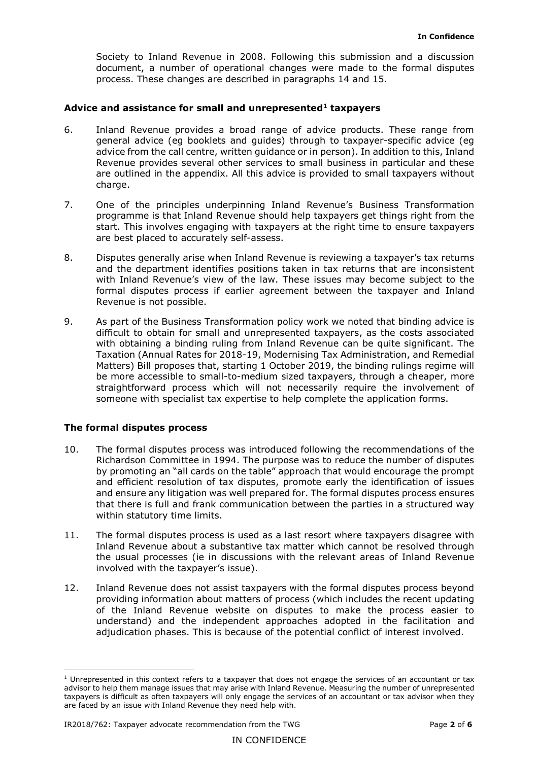Society to Inland Revenue in 2008. Following this submission and a discussion document, a number of operational changes were made to the formal disputes process. These changes are described in paragraphs 14 and 15.

### Advice and assistance for small and unrepresented<sup>1</sup> taxpayers

- 6. Inland Revenue provides a broad range of advice products. These range from general advice (eg booklets and guides) through to taxpayer-specific advice (eg advice from the call centre, written guidance or in person). In addition to this, Inland Revenue provides several other services to small business in particular and these are outlined in the appendix. All this advice is provided to small taxpayers without charge.
- are best placed to accurately self-assess. 7. One of the principles underpinning Inland Revenue's Business Transformation programme is that Inland Revenue should help taxpayers get things right from the start. This involves engaging with taxpayers at the right time to ensure taxpayers
- formal disputes process if earlier agreement between the taxpayer and Inland 8. Disputes generally arise when Inland Revenue is reviewing a taxpayer's tax returns and the department identifies positions taken in tax returns that are inconsistent with Inland Revenue's view of the law. These issues may become subject to the Revenue is not possible.
- Matters) Bill proposes that, starting 1 October 2019, the binding rulings regime will 9. As part of the Business Transformation policy work we noted that binding advice is difficult to obtain for small and unrepresented taxpayers, as the costs associated with obtaining a binding ruling from Inland Revenue can be quite significant. The Taxation (Annual Rates for 2018-19, Modernising Tax Administration, and Remedial be more accessible to small-to-medium sized taxpayers, through a cheaper, more straightforward process which will not necessarily require the involvement of someone with specialist tax expertise to help complete the application forms.

#### **The formal disputes process**

- and ensure any litigation was well prepared for. The formal disputes process ensures that there is full and frank communication between the parties in a structured way 10. The formal disputes process was introduced following the recommendations of the Richardson Committee in 1994. The purpose was to reduce the number of disputes by promoting an "all cards on the table" approach that would encourage the prompt and efficient resolution of tax disputes, promote early the identification of issues within statutory time limits.
- involved with the taxpayer's issue). 11. The formal disputes process is used as a last resort where taxpayers disagree with Inland Revenue about a substantive tax matter which cannot be resolved through the usual processes (ie in discussions with the relevant areas of Inland Revenue
- providing information about matters of process (which includes the recent updating adjudication phases. This is because of the potential conflict of interest involved. adjudication phases. This is because of the potential conflict of interest involved.<br>
1 Unrepresented in this context refers to a taxpayer that does not engage the services of an accountant or tax 12. Inland Revenue does not assist taxpayers with the formal disputes process beyond of the Inland Revenue website on disputes to make the process easier to understand) and the independent approaches adopted in the facilitation and

 are faced by an issue with Inland Revenue they need help with. advisor to help them manage issues that may arise with Inland Revenue. Measuring the number of unrepresented taxpayers is difficult as often taxpayers will only engage the services of an accountant or tax advisor when they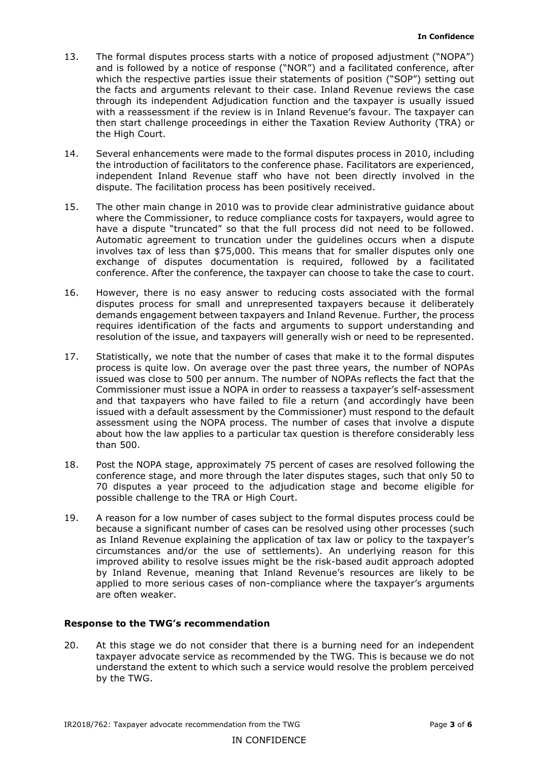- the facts and arguments relevant to their case. Inland Revenue reviews the case through its independent Adjudication function and the taxpayer is usually issued 13. The formal disputes process starts with a notice of proposed adjustment ("NOPA") and is followed by a notice of response ("NOR") and a facilitated conference, after which the respective parties issue their statements of position ("SOP") setting out with a reassessment if the review is in Inland Revenue's favour. The taxpayer can then start challenge proceedings in either the Taxation Review Authority (TRA) or the High Court.
- 14. Several enhancements were made to the formal disputes process in 2010, including the introduction of facilitators to the conference phase. Facilitators are experienced, independent Inland Revenue staff who have not been directly involved in the dispute. The facilitation process has been positively received.
- 15. The other main change in 2010 was to provide clear administrative guidance about where the Commissioner, to reduce compliance costs for taxpayers, would agree to involves tax of less than \$75,000. This means that for smaller disputes only one conference. After the conference, the taxpayer can choose to take the case to court. have a dispute "truncated" so that the full process did not need to be followed. Automatic agreement to truncation under the guidelines occurs when a dispute exchange of disputes documentation is required, followed by a facilitated
- requires identification of the facts and arguments to support understanding and 16. However, there is no easy answer to reducing costs associated with the formal disputes process for small and unrepresented taxpayers because it deliberately demands engagement between taxpayers and Inland Revenue. Further, the process resolution of the issue, and taxpayers will generally wish or need to be represented.
- process is quite low. On average over the past three years, the number of NOPAs than 500. 17. Statistically, we note that the number of cases that make it to the formal disputes issued was close to 500 per annum. The number of NOPAs reflects the fact that the Commissioner must issue a NOPA in order to reassess a taxpayer's self-assessment and that taxpayers who have failed to file a return (and accordingly have been issued with a default assessment by the Commissioner) must respond to the default assessment using the NOPA process. The number of cases that involve a dispute about how the law applies to a particular tax question is therefore considerably less
- possible challenge to the TRA or High Court. 18. Post the NOPA stage, approximately 75 percent of cases are resolved following the conference stage, and more through the later disputes stages, such that only 50 to 70 disputes a year proceed to the adjudication stage and become eligible for
- 19. A reason for a low number of cases subject to the formal disputes process could be because a significant number of cases can be resolved using other processes (such as Inland Revenue explaining the application of tax law or policy to the taxpayer's circumstances and/or the use of settlements). An underlying reason for this improved ability to resolve issues might be the risk-based audit approach adopted by Inland Revenue, meaning that Inland Revenue's resources are likely to be applied to more serious cases of non-compliance where the taxpayer's arguments are often weaker.

# **Response to the TWG's recommendation**

 20. At this stage we do not consider that there is a burning need for an independent taxpayer advocate service as recommended by the TWG. This is because we do not by the TWG. understand the extent to which such a service would resolve the problem perceived by the TWG.<br>IR2018/762: Taxpayer advocate recommendation from the TWG Page **3** of **6**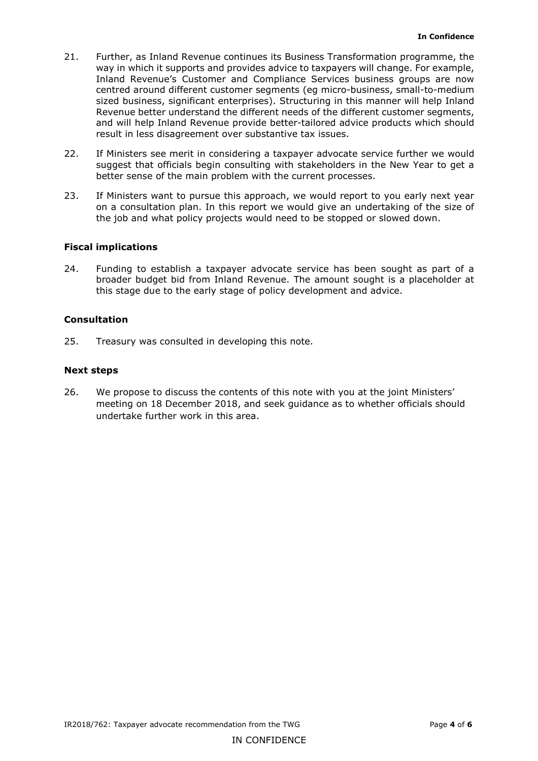- result in less disagreement over substantive tax issues. 21. Further, as Inland Revenue continues its Business Transformation programme, the way in which it supports and provides advice to taxpayers will change. For example, Inland Revenue's Customer and Compliance Services business groups are now centred around different customer segments (eg micro-business, small-to-medium sized business, significant enterprises). Structuring in this manner will help Inland Revenue better understand the different needs of the different customer segments, and will help Inland Revenue provide better-tailored advice products which should
- 22. If Ministers see merit in considering a taxpayer advocate service further we would suggest that officials begin consulting with stakeholders in the New Year to get a better sense of the main problem with the current processes.
- on a consultation plan. In this report we would give an undertaking of the size of 23. If Ministers want to pursue this approach, we would report to you early next year the job and what policy projects would need to be stopped or slowed down.

# **Fiscal implications**

24. Funding to establish a taxpayer advocate service has been sought as part of a broader budget bid from Inland Revenue. The amount sought is a placeholder at this stage due to the early stage of policy development and advice.

# **Consultation**

25. Treasury was consulted in developing this note.

# **Next steps**

undertake further work in this area. 26. We propose to discuss the contents of this note with you at the joint Ministers' meeting on 18 December 2018, and seek guidance as to whether officials should undertake further work in this area. IR2018/762: Taxpayer advocate recommendation from the TWG Page **4** of **<sup>6</sup>**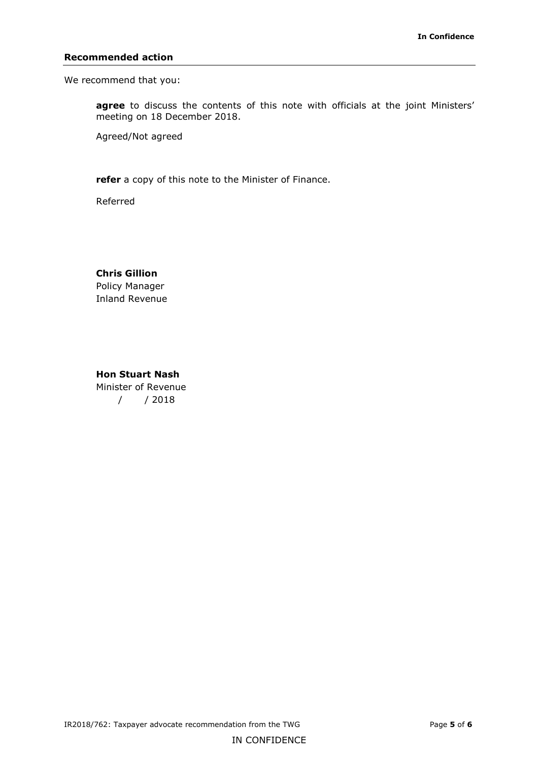#### **Recommended action**

We recommend that you:

**agree** to discuss the contents of this note with officials at the joint Ministers' meeting on 18 December 2018.

Agreed/Not agreed

**refer** a copy of this note to the Minister of Finance.

Referred

# **Chris Gillion**  Policy Manager Inland Revenue

 **Hon Stuart Nash**  Minister of Revenue / / 2018